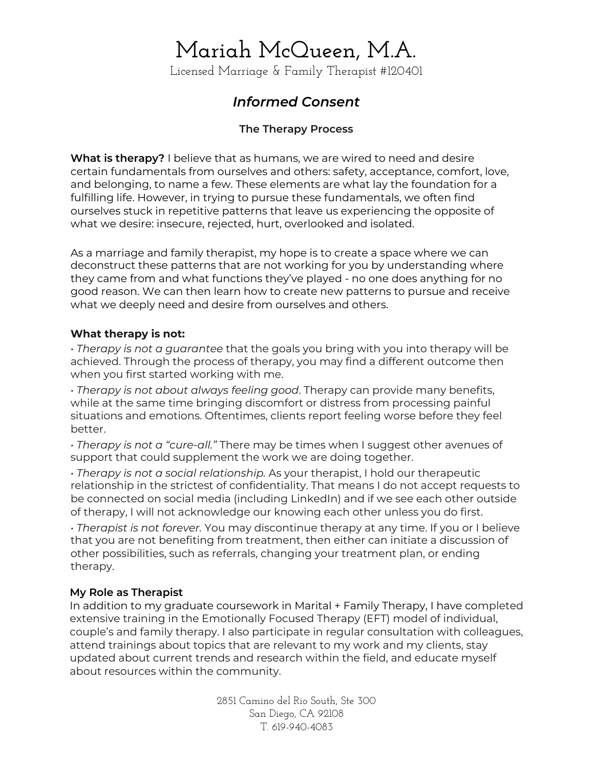Licensed Marriage & Family Therapist #120401

### *Informed Consent*

### **The Therapy Process**

**What is therapy?** I believe that as humans, we are wired to need and desire certain fundamentals from ourselves and others: safety, acceptance, comfort, love, and belonging, to name a few. These elements are what lay the foundation for a fulfilling life. However, in trying to pursue these fundamentals, we often find ourselves stuck in repetitive patterns that leave us experiencing the opposite of what we desire: insecure, rejected, hurt, overlooked and isolated.

As a marriage and family therapist, my hope is to create a space where we can deconstruct these patterns that are not working for you by understanding where they came from and what functions they've played - no one does anything for no good reason. We can then learn how to create new patterns to pursue and receive what we deeply need and desire from ourselves and others.

#### **What therapy is not:**

• *Therapy is not a guarantee* that the goals you bring with you into therapy will be achieved. Through the process of therapy, you may find a different outcome then when you first started working with me.

• *Therapy is not about always feeling good*. Therapy can provide many benefits, while at the same time bringing discomfort or distress from processing painful situations and emotions. Oftentimes, clients report feeling worse before they feel better.

• *Therapy is not a "cure-all."* There may be times when I suggest other avenues of support that could supplement the work we are doing together.

• *Therapy is not a social relationship.* As your therapist, I hold our therapeutic relationship in the strictest of confidentiality. That means I do not accept requests to be connected on social media (including LinkedIn) and if we see each other outside of therapy, I will not acknowledge our knowing each other unless you do first.

• *Therapist is not forever.* You may discontinue therapy at any time. If you or I believe that you are not benefiting from treatment, then either can initiate a discussion of other possibilities, such as referrals, changing your treatment plan, or ending therapy.

### **My Role as Therapist**

In addition to my graduate coursework in Marital + Family Therapy, I have completed extensive training in the Emotionally Focused Therapy (EFT) model of individual, couple's and family therapy. I also participate in regular consultation with colleagues, attend trainings about topics that are relevant to my work and my clients, stay updated about current trends and research within the field, and educate myself about resources within the community.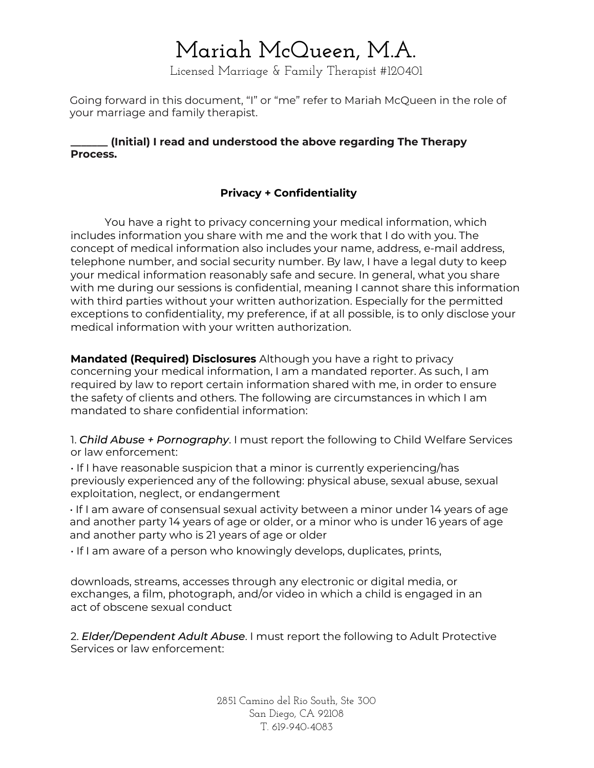Licensed Marriage & Family Therapist #120401

Going forward in this document, "I" or "me" refer to Mariah McQueen in the role of your marriage and family therapist.

#### **\_\_\_\_\_\_\_ (Initial) I read and understood the above regarding The Therapy Process.**

### **Privacy + Confidentiality**

You have a right to privacy concerning your medical information, which includes information you share with me and the work that I do with you. The concept of medical information also includes your name, address, e-mail address, telephone number, and social security number. By law, I have a legal duty to keep your medical information reasonably safe and secure. In general, what you share with me during our sessions is confidential, meaning I cannot share this information with third parties without your written authorization. Especially for the permitted exceptions to confidentiality, my preference, if at all possible, is to only disclose your medical information with your written authorization.

**Mandated (Required) Disclosures** Although you have a right to privacy concerning your medical information, I am a mandated reporter. As such, I am required by law to report certain information shared with me, in order to ensure the safety of clients and others. The following are circumstances in which I am mandated to share confidential information:

1. *Child Abuse + Pornography*. I must report the following to Child Welfare Services or law enforcement:

• If I have reasonable suspicion that a minor is currently experiencing/has previously experienced any of the following: physical abuse, sexual abuse, sexual exploitation, neglect, or endangerment

• If I am aware of consensual sexual activity between a minor under 14 years of age and another party 14 years of age or older, or a minor who is under 16 years of age and another party who is 21 years of age or older

• If I am aware of a person who knowingly develops, duplicates, prints,

downloads, streams, accesses through any electronic or digital media, or exchanges, a film, photograph, and/or video in which a child is engaged in an act of obscene sexual conduct

2. *Elder/Dependent Adult Abuse*. I must report the following to Adult Protective Services or law enforcement: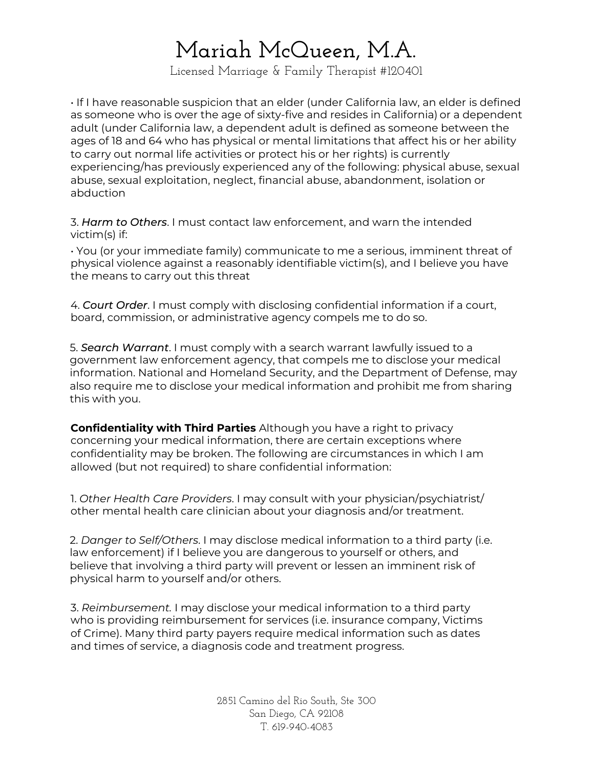Licensed Marriage & Family Therapist #120401

• If I have reasonable suspicion that an elder (under California law, an elder is defined as someone who is over the age of sixty-five and resides in California) or a dependent adult (under California law, a dependent adult is defined as someone between the ages of 18 and 64 who has physical or mental limitations that affect his or her ability to carry out normal life activities or protect his or her rights) is currently experiencing/has previously experienced any of the following: physical abuse, sexual abuse, sexual exploitation, neglect, financial abuse, abandonment, isolation or abduction

3. *Harm to Others*. I must contact law enforcement, and warn the intended victim(s) if:

• You (or your immediate family) communicate to me a serious, imminent threat of physical violence against a reasonably identifiable victim(s), and I believe you have the means to carry out this threat

4. *Court Order*. I must comply with disclosing confidential information if a court, board, commission, or administrative agency compels me to do so.

5. *Search Warrant*. I must comply with a search warrant lawfully issued to a government law enforcement agency, that compels me to disclose your medical information. National and Homeland Security, and the Department of Defense, may also require me to disclose your medical information and prohibit me from sharing this with you.

**Confidentiality with Third Parties** Although you have a right to privacy concerning your medical information, there are certain exceptions where confidentiality may be broken. The following are circumstances in which I am allowed (but not required) to share confidential information:

1. *Other Health Care Providers*. I may consult with your physician/psychiatrist/ other mental health care clinician about your diagnosis and/or treatment.

2. *Danger to Self/Others*. I may disclose medical information to a third party (i.e. law enforcement) if I believe you are dangerous to yourself or others, and believe that involving a third party will prevent or lessen an imminent risk of physical harm to yourself and/or others.

3. *Reimbursement.* I may disclose your medical information to a third party who is providing reimbursement for services (i.e. insurance company, Victims of Crime). Many third party payers require medical information such as dates and times of service, a diagnosis code and treatment progress.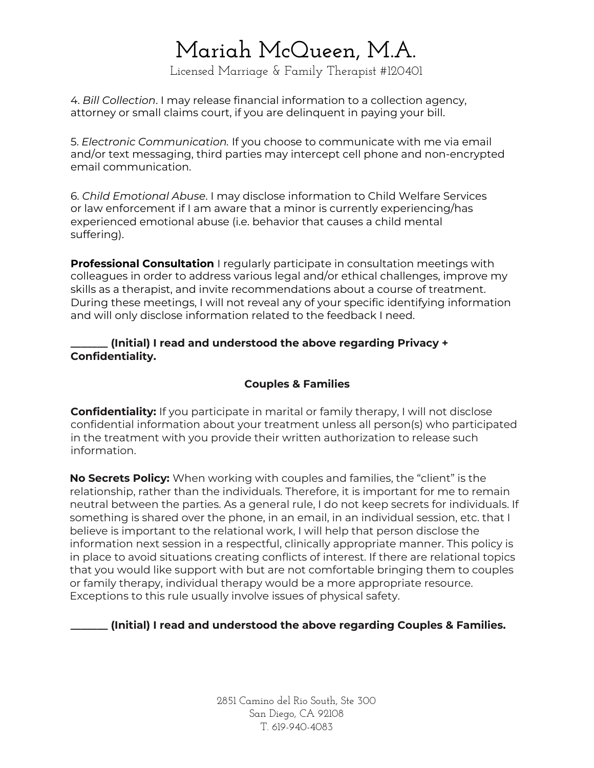Licensed Marriage & Family Therapist #120401

4. *Bill Collection*. I may release financial information to a collection agency, attorney or small claims court, if you are delinquent in paying your bill.

5. *Electronic Communication.* If you choose to communicate with me via email and/or text messaging, third parties may intercept cell phone and non-encrypted email communication.

6. *Child Emotional Abuse*. I may disclose information to Child Welfare Services or law enforcement if I am aware that a minor is currently experiencing/has experienced emotional abuse (i.e. behavior that causes a child mental suffering).

**Professional Consultation** I regularly participate in consultation meetings with colleagues in order to address various legal and/or ethical challenges, improve my skills as a therapist, and invite recommendations about a course of treatment. During these meetings, I will not reveal any of your specific identifying information and will only disclose information related to the feedback I need.

#### **\_\_\_\_\_\_\_ (Initial) I read and understood the above regarding Privacy + Confidentiality.**

### **Couples & Families**

**Confidentiality:** If you participate in marital or family therapy, I will not disclose confidential information about your treatment unless all person(s) who participated in the treatment with you provide their written authorization to release such information.

**No Secrets Policy:** When working with couples and families, the "client" is the relationship, rather than the individuals. Therefore, it is important for me to remain neutral between the parties. As a general rule, I do not keep secrets for individuals. If something is shared over the phone, in an email, in an individual session, etc. that I believe is important to the relational work, I will help that person disclose the information next session in a respectful, clinically appropriate manner. This policy is in place to avoid situations creating conflicts of interest. If there are relational topics that you would like support with but are not comfortable bringing them to couples or family therapy, individual therapy would be a more appropriate resource. Exceptions to this rule usually involve issues of physical safety.

**\_\_\_\_\_\_\_ (Initial) I read and understood the above regarding Couples & Families.**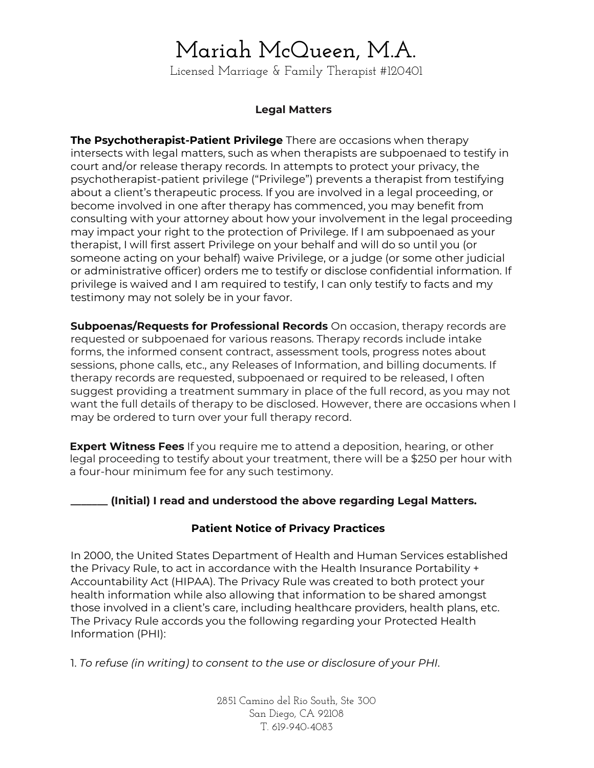Licensed Marriage & Family Therapist #120401

#### **Legal Matters**

**The Psychotherapist-Patient Privilege** There are occasions when therapy intersects with legal matters, such as when therapists are subpoenaed to testify in court and/or release therapy records. In attempts to protect your privacy, the psychotherapist-patient privilege ("Privilege") prevents a therapist from testifying about a client's therapeutic process. If you are involved in a legal proceeding, or become involved in one after therapy has commenced, you may benefit from consulting with your attorney about how your involvement in the legal proceeding may impact your right to the protection of Privilege. If I am subpoenaed as your therapist, I will first assert Privilege on your behalf and will do so until you (or someone acting on your behalf) waive Privilege, or a judge (or some other judicial or administrative officer) orders me to testify or disclose confidential information. If privilege is waived and I am required to testify, I can only testify to facts and my testimony may not solely be in your favor.

**Subpoenas/Requests for Professional Records** On occasion, therapy records are requested or subpoenaed for various reasons. Therapy records include intake forms, the informed consent contract, assessment tools, progress notes about sessions, phone calls, etc., any Releases of Information, and billing documents. If therapy records are requested, subpoenaed or required to be released, I often suggest providing a treatment summary in place of the full record, as you may not want the full details of therapy to be disclosed. However, there are occasions when I may be ordered to turn over your full therapy record.

**Expert Witness Fees** If you require me to attend a deposition, hearing, or other legal proceeding to testify about your treatment, there will be a \$250 per hour with a four-hour minimum fee for any such testimony.

#### **\_\_\_\_\_\_\_ (Initial) I read and understood the above regarding Legal Matters.**

#### **Patient Notice of Privacy Practices**

In 2000, the United States Department of Health and Human Services established the Privacy Rule, to act in accordance with the Health Insurance Portability + Accountability Act (HIPAA). The Privacy Rule was created to both protect your health information while also allowing that information to be shared amongst those involved in a client's care, including healthcare providers, health plans, etc. The Privacy Rule accords you the following regarding your Protected Health Information (PHI):

1. *To refuse (in writing) to consent to the use or disclosure of your PHI*.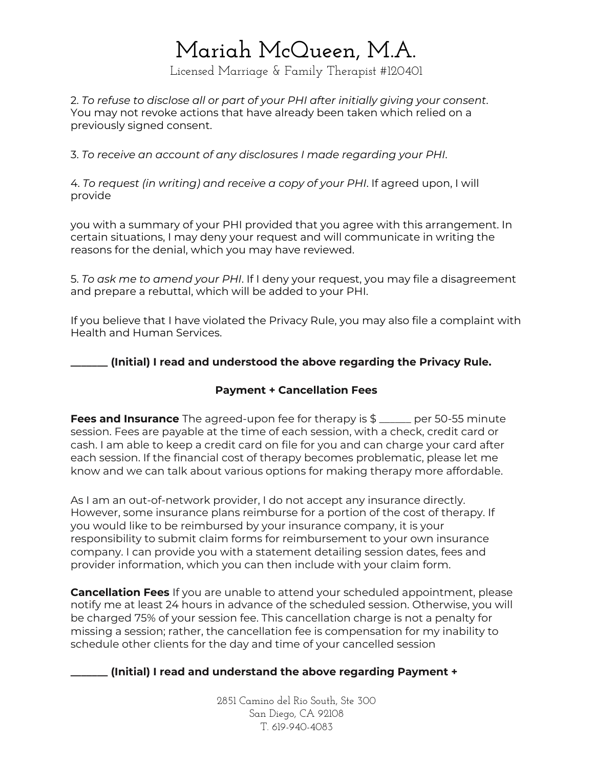Licensed Marriage & Family Therapist #120401

2. *To refuse to disclose all or part of your PHI after initially giving your consent*. You may not revoke actions that have already been taken which relied on a previously signed consent.

3. *To receive an account of any disclosures I made regarding your PHI*.

4. *To request (in writing) and receive a copy of your PHI*. If agreed upon, I will provide

you with a summary of your PHI provided that you agree with this arrangement. In certain situations, I may deny your request and will communicate in writing the reasons for the denial, which you may have reviewed.

5. *To ask me to amend your PHI*. If I deny your request, you may file a disagreement and prepare a rebuttal, which will be added to your PHI.

If you believe that I have violated the Privacy Rule, you may also file a complaint with Health and Human Services.

**\_\_\_\_\_\_\_ (Initial) I read and understood the above regarding the Privacy Rule.**

#### **Payment + Cancellation Fees**

**Fees and Insurance** The agreed-upon fee for therapy is \$ \_\_\_\_\_\_ per 50-55 minute session. Fees are payable at the time of each session, with a check, credit card or cash. I am able to keep a credit card on file for you and can charge your card after each session. If the financial cost of therapy becomes problematic, please let me know and we can talk about various options for making therapy more affordable.

As I am an out-of-network provider, I do not accept any insurance directly. However, some insurance plans reimburse for a portion of the cost of therapy. If you would like to be reimbursed by your insurance company, it is your responsibility to submit claim forms for reimbursement to your own insurance company. I can provide you with a statement detailing session dates, fees and provider information, which you can then include with your claim form.

**Cancellation Fees** If you are unable to attend your scheduled appointment, please notify me at least 24 hours in advance of the scheduled session. Otherwise, you will be charged 75% of your session fee. This cancellation charge is not a penalty for missing a session; rather, the cancellation fee is compensation for my inability to schedule other clients for the day and time of your cancelled session

#### **\_\_\_\_\_\_\_ (Initial) I read and understand the above regarding Payment +**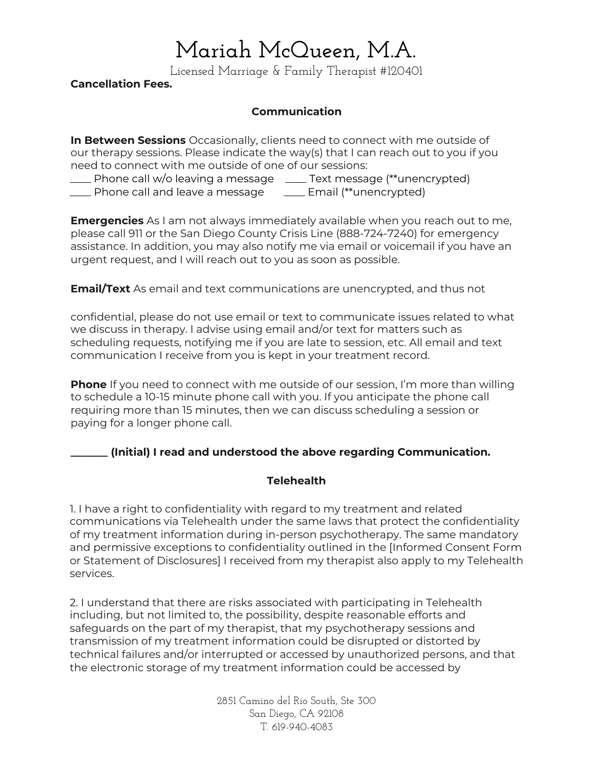Licensed Marriage & Family Therapist #120401

**Cancellation Fees.**

#### **Communication**

**In Between Sessions** Occasionally, clients need to connect with me outside of our therapy sessions. Please indicate the way(s) that I can reach out to you if you need to connect with me outside of one of our sessions:

\_\_\_\_ Phone call w/o leaving a message \_\_\_\_ Text message (\*\*unencrypted) \_\_\_\_ Phone call and leave a message \_\_\_\_ Email (\*\*unencrypted)

**Emergencies** As I am not always immediately available when you reach out to me, please call 911 or the San Diego County Crisis Line (888-724-7240) for emergency assistance. In addition, you may also notify me via email or voicemail if you have an urgent request, and I will reach out to you as soon as possible.

**Email/Text** As email and text communications are unencrypted, and thus not

confidential, please do not use email or text to communicate issues related to what we discuss in therapy. I advise using email and/or text for matters such as scheduling requests, notifying me if you are late to session, etc. All email and text communication I receive from you is kept in your treatment record.

**Phone** If you need to connect with me outside of our session, I'm more than willing to schedule a 10-15 minute phone call with you. If you anticipate the phone call requiring more than 15 minutes, then we can discuss scheduling a session or paying for a longer phone call.

#### **\_\_\_\_\_\_\_ (Initial) I read and understood the above regarding Communication.**

#### **Telehealth**

1. I have a right to confidentiality with regard to my treatment and related communications via Telehealth under the same laws that protect the confidentiality of my treatment information during in-person psychotherapy. The same mandatory and permissive exceptions to confidentiality outlined in the [Informed Consent Form or Statement of Disclosures] I received from my therapist also apply to my Telehealth services.

2. I understand that there are risks associated with participating in Telehealth including, but not limited to, the possibility, despite reasonable efforts and safeguards on the part of my therapist, that my psychotherapy sessions and transmission of my treatment information could be disrupted or distorted by technical failures and/or interrupted or accessed by unauthorized persons, and that the electronic storage of my treatment information could be accessed by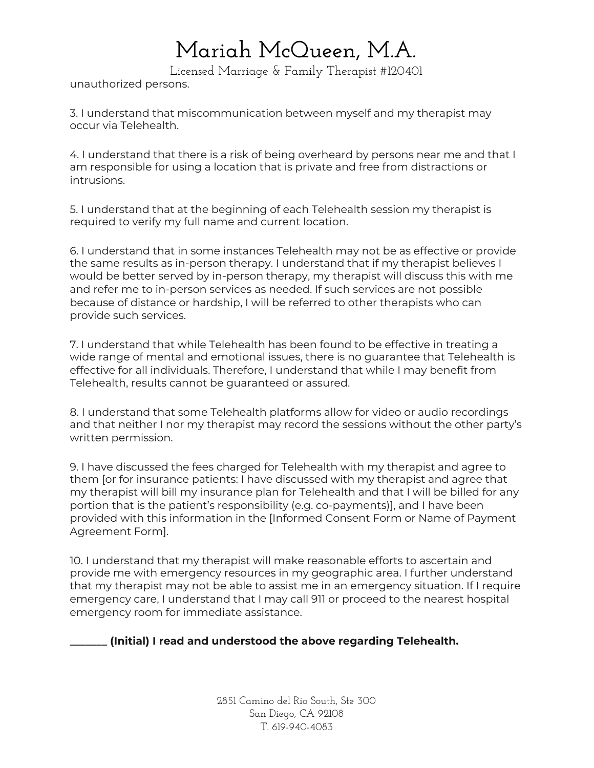Licensed Marriage & Family Therapist #120401

unauthorized persons.

3. I understand that miscommunication between myself and my therapist may occur via Telehealth.

4. I understand that there is a risk of being overheard by persons near me and that I am responsible for using a location that is private and free from distractions or intrusions.

5. I understand that at the beginning of each Telehealth session my therapist is required to verify my full name and current location.

6. I understand that in some instances Telehealth may not be as effective or provide the same results as in-person therapy. I understand that if my therapist believes I would be better served by in-person therapy, my therapist will discuss this with me and refer me to in-person services as needed. If such services are not possible because of distance or hardship, I will be referred to other therapists who can provide such services.

7. I understand that while Telehealth has been found to be effective in treating a wide range of mental and emotional issues, there is no guarantee that Telehealth is effective for all individuals. Therefore, I understand that while I may benefit from Telehealth, results cannot be guaranteed or assured.

8. I understand that some Telehealth platforms allow for video or audio recordings and that neither I nor my therapist may record the sessions without the other party's written permission.

9. I have discussed the fees charged for Telehealth with my therapist and agree to them [or for insurance patients: I have discussed with my therapist and agree that my therapist will bill my insurance plan for Telehealth and that I will be billed for any portion that is the patient's responsibility (e.g. co-payments)], and I have been provided with this information in the [Informed Consent Form or Name of Payment Agreement Form].

10. I understand that my therapist will make reasonable efforts to ascertain and provide me with emergency resources in my geographic area. I further understand that my therapist may not be able to assist me in an emergency situation. If I require emergency care, I understand that I may call 911 or proceed to the nearest hospital emergency room for immediate assistance.

**\_\_\_\_\_\_\_ (Initial) I read and understood the above regarding Telehealth.**